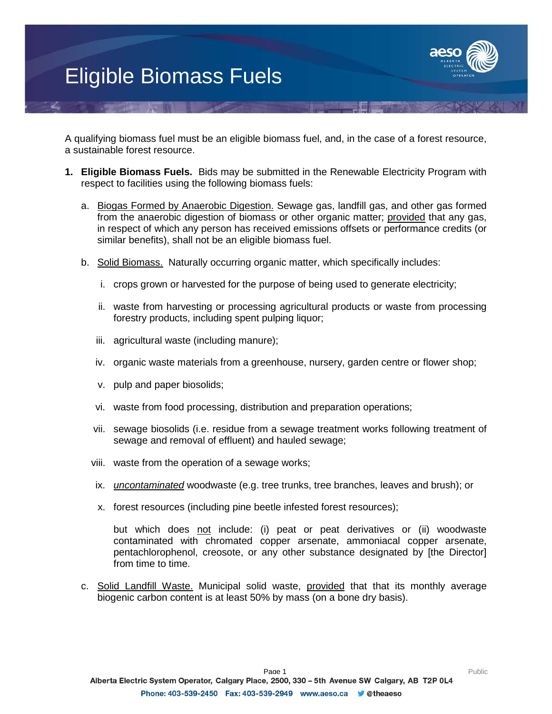## Eligible Biomass Fuels



A qualifying biomass fuel must be an eligible biomass fuel, and, in the case of a forest resource, a sustainable forest resource.

- **1. Eligible Biomass Fuels.** Bids may be submitted in the Renewable Electricity Program with respect to facilities using the following biomass fuels:
	- a. Biogas Formed by Anaerobic Digestion. Sewage gas, landfill gas, and other gas formed from the anaerobic digestion of biomass or other organic matter; provided that any gas, in respect of which any person has received emissions offsets or performance credits (or similar benefits), shall not be an eligible biomass fuel.
	- b. Solid Biomass. Naturally occurring organic matter, which specifically includes:
		- i. crops grown or harvested for the purpose of being used to generate electricity;
		- ii. waste from harvesting or processing agricultural products or waste from processing forestry products, including spent pulping liquor;
		- iii. agricultural waste (including manure);
		- iv. organic waste materials from a greenhouse, nursery, garden centre or flower shop;
		- v. pulp and paper biosolids;
		- vi. waste from food processing, distribution and preparation operations;
		- vii. sewage biosolids (i.e. residue from a sewage treatment works following treatment of sewage and removal of effluent) and hauled sewage;
		- viii. waste from the operation of a sewage works;
		- ix. *uncontaminated* woodwaste (e.g. tree trunks, tree branches, leaves and brush); or
		- x. forest resources (including pine beetle infested forest resources);

but which does not include: (i) peat or peat derivatives or (ii) woodwaste contaminated with chromated copper arsenate, ammoniacal copper arsenate, pentachlorophenol, creosote, or any other substance designated by [the Director] from time to time.

c. Solid Landfill Waste. Municipal solid waste, provided that that its monthly average biogenic carbon content is at least 50% by mass (on a bone dry basis).